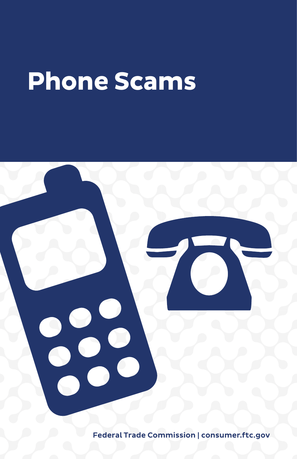# **Phone Scams**

Federal Trade Commission | consumer.[ftc.gov](https://consumer.ftc.gov)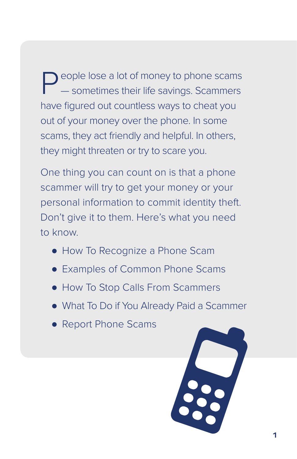People lose a lot of money to phone scams — sometimes their life savings. Scammers have figured out countless ways to cheat you out of your money over the phone. In some scams, they act friendly and helpful. In others, they might threaten or try to scare you.

One thing you can count on is that a phone scammer will try to get your money or your personal information to commit identity theft. Don't give it to them. Here's what you need to know.

- How To Recognize a Phone Scam
- Examples of Common Phone Scams
- How To Stop Calls From Scammers
- What To Do if You Already Paid a Scammer
- Report Phone Scams

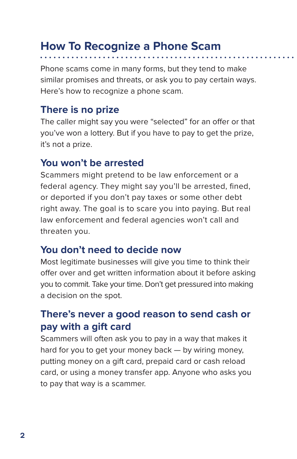## **How To Recognize a Phone Scam**

Phone scams come in many forms, but they tend to make similar promises and threats, or ask you to pay certain ways. Here's how to recognize a phone scam.

#### **There is no prize**

The caller might say you were "selected" for an offer or that you've won a lottery. But if you have to pay to get the prize, it's not a prize.

#### **You won't be arrested**

Scammers might pretend to be law enforcement or a federal agency. They might say you'll be arrested, fined, or deported if you don't pay taxes or some other debt right away. The goal is to scare you into paying. But real law enforcement and federal agencies won't call and threaten you.

#### **You don't need to decide now**

Most legitimate businesses will give you time to think their offer over and get written information about it before asking you to commit. Take your time. Don't get pressured into making a decision on the spot.

#### **There's never a good reason to send cash or pay with a gift card**

Scammers will often ask you to pay in a way that makes it hard for you to get your money back — by wiring money, putting money on a gift card, prepaid card or cash reload card, or using a money transfer app. Anyone who asks you to pay that way is a scammer.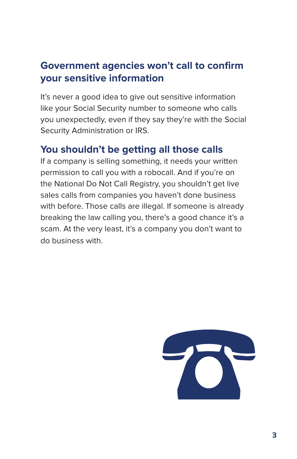#### **Government agencies won't call to confirm your sensitive information**

It's never a good idea to give out sensitive information like your Social Security number to someone who calls you unexpectedly, even if they say they're with the Social Security Administration or IRS.

#### **You shouldn't be getting all those calls**

If a company is selling something, it needs your written permission to call you with a robocall. And if you're on the National Do Not Call Registry, you shouldn't get live sales calls from companies you haven't done business with before. Those calls are illegal. If someone is already breaking the law calling you, there's a good chance it's a scam. At the very least, it's a company you don't want to do business with.

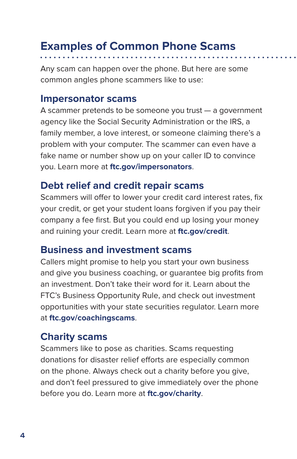## **Examples of Common Phone Scams**

Any scam can happen over the phone. But here are some common angles phone scammers like to use:

#### **Impersonator scams**

A scammer pretends to be someone you trust — a government agency like the Social Security Administration or the IRS, a family member, a love interest, or someone claiming there's a problem with your computer. The scammer can even have a fake name or number show up on your caller ID to convince you. Learn more at **[ftc.gov/impersonators](https://ftc.gov/impersonators)**.

#### **Debt relief and credit repair scams**

Scammers will offer to lower your credit card interest rates, fix your credit, or get your student loans forgiven if you pay their company a fee first. But you could end up losing your money and ruining your credit. Learn more at **[ftc.gov/credit](http://www.ftc.gov/credit)**.

#### **Business and investment scams**

Callers might promise to help you start your own business and give you business coaching, or guarantee big profits from an investment. Don't take their word for it. Learn about the FTC's Business Opportunity Rule, and check out investment opportunities with your state securities regulator. Learn more at **[ftc.gov/coachingscams](https://ftc.gov/coachingscams)**.

#### **Charity scams**

Scammers like to pose as charities. Scams requesting donations for disaster relief efforts are especially common on the phone. Always check out a charity before you give, and don't feel pressured to give immediately over the phone before you do. Learn more at **[ftc.gov/charity](http://www.ftc.gov/charity)**.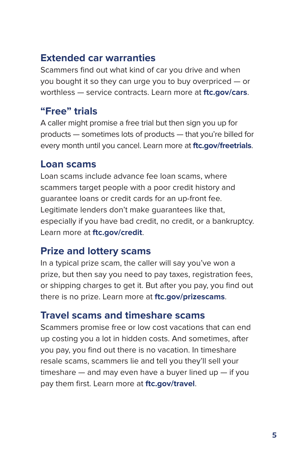#### **Extended car warranties**

Scammers find out what kind of car you drive and when you bought it so they can urge you to buy overpriced — or worthless — service contracts. Learn more at **[ftc.gov/cars](http://www.ftc.gov/cars)**.

#### **"Free" trials**

A caller might promise a free trial but then sign you up for products — sometimes lots of products — that you're billed for every month until you cancel. Learn more at **[ftc.gov/freetrials](http://www.ftc.gov/freetrials)**.

#### **Loan scams**

Loan scams include advance fee loan scams, where scammers target people with a poor credit history and guarantee loans or credit cards for an up-front fee. Legitimate lenders don't make guarantees like that, especially if you have bad credit, no credit, or a bankruptcy. Learn more at **[ftc.gov/credit](http://www.ftc.gov/credit)**.

### **Prize and lottery scams**

In a typical prize scam, the caller will say you've won a prize, but then say you need to pay taxes, registration fees, or shipping charges to get it. But after you pay, you find out there is no prize. Learn more at **[ftc.gov/prizescams](http://www.ftc.gov/prizescams)**.

#### **Travel scams and timeshare scams**

Scammers promise free or low cost vacations that can end up costing you a lot in hidden costs. And sometimes, after you pay, you find out there is no vacation. In timeshare resale scams, scammers lie and tell you they'll sell your timeshare  $-$  and may even have a buyer lined up  $-$  if you pay them first. Learn more at **[ftc.gov/travel](http://www.ftc.gov/travel)**.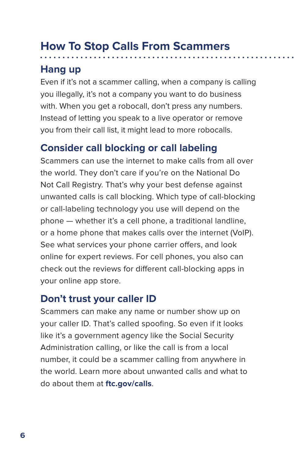## **How To Stop Calls From Scammers**

#### **Hang up**

Even if it's not a scammer calling, when a company is calling you illegally, it's not a company you want to do business with. When you get a robocall, don't press any numbers. Instead of letting you speak to a live operator or remove you from their call list, it might lead to more robocalls.

#### **Consider call blocking or call labeling**

Scammers can use the internet to make calls from all over the world. They don't care if you're on the National Do Not Call Registry. That's why your best defense against unwanted calls is call blocking. Which type of call-blocking or call-labeling technology you use will depend on the phone — whether it's a cell phone, a traditional landline, or a home phone that makes calls over the internet (VoIP). See what services your phone carrier offers, and look online for expert reviews. For cell phones, you also can check out the reviews for different call-blocking apps in your online app store.

#### **Don't trust your caller ID**

Scammers can make any name or number show up on your caller ID. That's called spoofing. So even if it looks like it's a government agency like the Social Security Administration calling, or like the call is from a local number, it could be a scammer calling from anywhere in the world. Learn more about unwanted calls and what to do about them at **[ftc.gov/calls](http://www.ftc.gov/calls)**.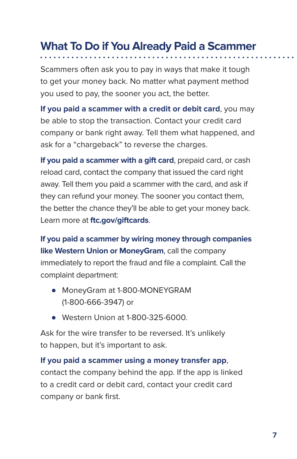## **What To Do if You Already Paid a Scammer**

Scammers often ask you to pay in ways that make it tough to get your money back. No matter what payment method you used to pay, the sooner you act, the better.

**If you paid a scammer with a credit or debit card**, you may be able to stop the transaction. Contact your credit card company or bank right away. Tell them what happened, and ask for a "chargeback" to reverse the charges.

**If you paid a scammer with a gift card**, prepaid card, or cash reload card, contact the company that issued the card right away. Tell them you paid a scammer with the card, and ask if they can refund your money. The sooner you contact them, the better the chance they'll be able to get your money back. Learn more at **[ftc.gov/giftcards](http://www.ftc.gov/giftcards)**.

**If you paid a scammer by wiring money through companies like Western Union or MoneyGram**, call the company immediately to report the fraud and file a complaint. Call the complaint department:

- MoneyGram at 1-800-MONEYGRAM (1-800-666-3947) or
- Western Union at 1-800-325-6000.

Ask for the wire transfer to be reversed. It's unlikely to happen, but it's important to ask.

**If you paid a scammer using a money transfer app**, contact the company behind the app. If the app is linked to a credit card or debit card, contact your credit card company or bank first.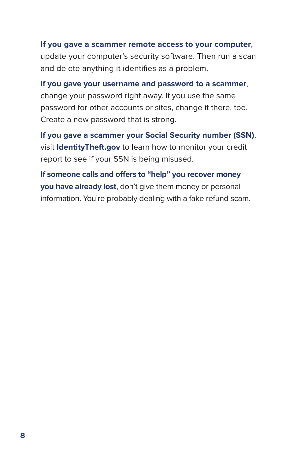#### **If you gave a scammer remote access to your computer**,

update your computer's security software. Then run a scan and delete anything it identifies as a problem.

**If you gave your username and password to a scammer**, change your password right away. If you use the same password for other accounts or sites, change it there, too. Create a new password that is strong.

**If you gave a scammer your Social Security number (SSN)**, visit **I[dentityTheft.gov](http://www.identitytheft.gov)** to learn how to monitor your credit report to see if your SSN is being misused.

**If someone calls and offers to "help" you recover money you have already lost**, don't give them money or personal information. You're probably dealing with a fake refund scam.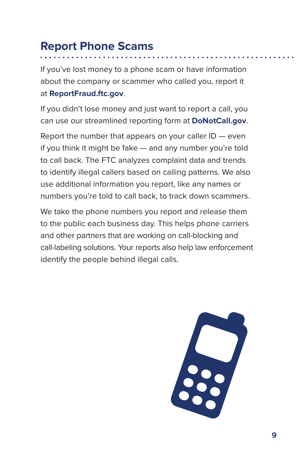## **Report Phone Scams**

If you've lost money to a phone scam or have information about the company or scammer who called you, report it at **[ReportFraud.ftc.gov](https://reportfraud.ftc.gov/#/?pid=A)**.

If you didn't lose money and just want to report a call, you can use our streamlined reporting form at **D[oNotCall.gov](http://www.donotcall.gov)**.

Report the number that appears on your caller  $ID$  – even if you think it might be fake — and any number you're told to call back. The FTC analyzes complaint data and trends to identify illegal callers based on calling patterns. We also use additional information you report, like any names or numbers you're told to call back, to track down scammers.

We take the phone numbers you report and release them to the public each business day. This helps phone carriers and other partners that are working on call-blocking and call-labeling solutions. Your reports also help law enforcement identify the people behind illegal calls.